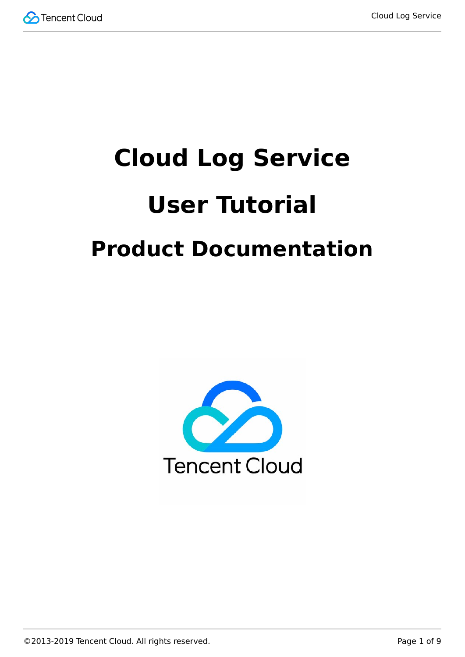

# **Cloud Log Service User Tutorial Product Documentation**

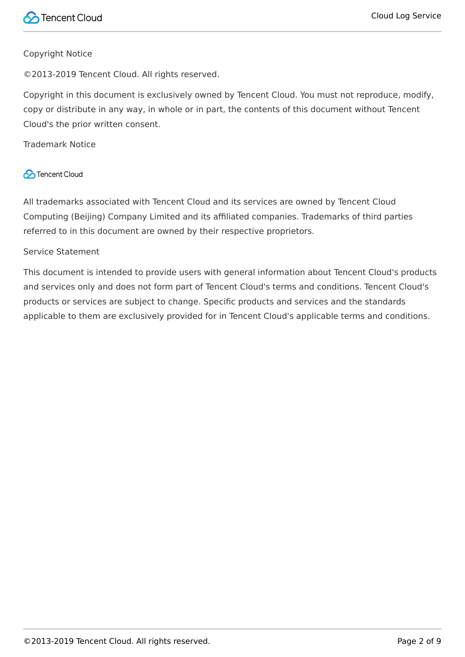#### Copyright Notice

©2013-2019 Tencent Cloud. All rights reserved.

Copyright in this document is exclusively owned by Tencent Cloud. You must not reproduce, modify, copy or distribute in any way, in whole or in part, the contents of this document without Tencent Cloud's the prior written consent.

Trademark Notice

#### **C** Tencent Cloud

All trademarks associated with Tencent Cloud and its services are owned by Tencent Cloud Computing (Beijing) Company Limited and its affiliated companies. Trademarks of third parties referred to in this document are owned by their respective proprietors.

#### Service Statement

This document is intended to provide users with general information about Tencent Cloud's products and services only and does not form part of Tencent Cloud's terms and conditions. Tencent Cloud's products or services are subject to change. Specific products and services and the standards applicable to them are exclusively provided for in Tencent Cloud's applicable terms and conditions.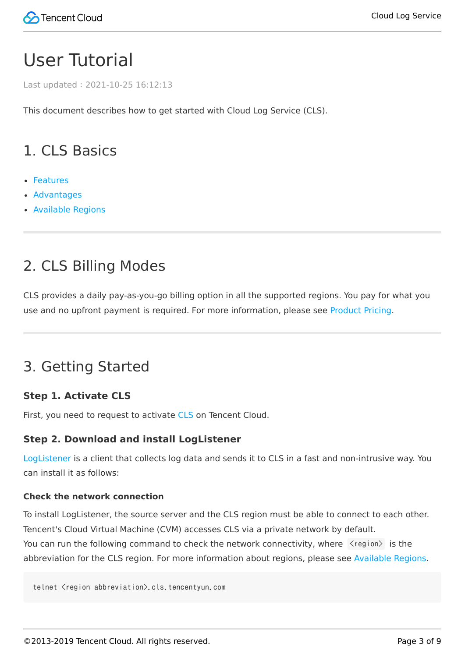# User Tutorial

Last updated:2021-10-25 16:12:13

This document describes how to get started with Cloud Log Service (CLS).

# 1. CLS Basics

- [Features](https://intl.cloud.tencent.com/document/product/614/11254)
- [Advantages](https://intl.cloud.tencent.com/document/product/614/11265)
- [Available Regions](https://intl.cloud.tencent.com/document/product/614/18940)

# 2. CLS Billing Modes

CLS provides a daily pay-as-you-go billing option in all the supported regions. You pay for what you use and no upfront payment is required. For more information, please see [Product Pricing](https://intl.cloud.tencent.com/document/product/614/37510).

# 3. Getting Started

#### **Step 1. Activate CLS**

First, you need to request to activate [CLS](https://intl.cloud.tencent.com/product/cls) on Tencent Cloud.

#### **Step 2. Download and install LogListener**

[LogListener](https://intl.cloud.tencent.com/document/product/614/30449) is a client that collects log data and sends it to CLS in a fast and non-intrusive way. You can install it as follows:

#### **Check the network connection**

To install LogListener, the source server and the CLS region must be able to connect to each other. Tencent's Cloud Virtual Machine (CVM) accesses CLS via a private network by default. You can run the following command to check the network connectivity, where  $\langle$ region $\rangle$  is the abbreviation for the CLS region. For more information about regions, please see [Available Regions.](https://intl.cloud.tencent.com/document/product/614/18940)

telnet <region abbreviation>.cls.tencentyun.com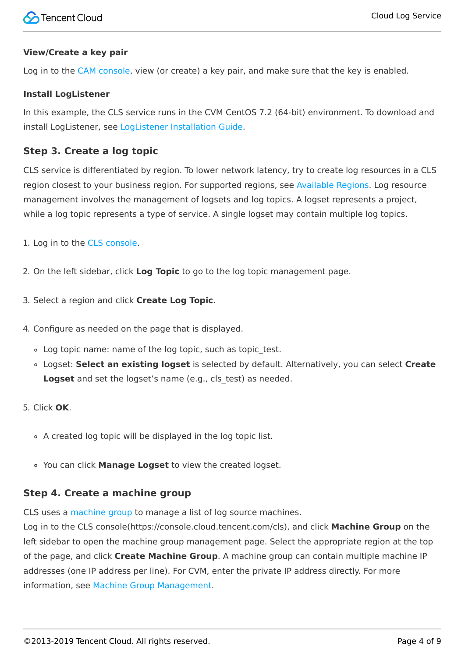#### **View/Create a key pair**

Log in to the [CAM console,](https://console.cloud.tencent.com/cam/capi) view (or create) a key pair, and make sure that the key is enabled.

#### **Install LogListener**

In this example, the CLS service runs in the CVM CentOS 7.2 (64-bit) environment. To download and install LogListener, see [LogListener Installation Guide.](https://intl.cloud.tencent.com/document/product/614/17414)

#### **Step 3. Create a log topic**

CLS service is differentiated by region. To lower network latency, try to create log resources in a CLS region closest to your business region. For supported regions, see [Available Regions.](https://intl.cloud.tencent.com/document/product/614/18940) Log resource management involves the management of logsets and log topics. A logset represents a project, while a log topic represents a type of service. A single logset may contain multiple log topics.

- 1. Log in to the [CLS console.](https://console.cloud.tencent.com/cls)
- 2. On the left sidebar, click **Log Topic** to go to the log topic management page.
- 3. Select a region and click **Create Log Topic**.
- 4. Configure as needed on the page that is displayed.
	- . Log topic name: name of the log topic, such as topic test.
	- Logset: **Select an existing logset** is selected by default. Alternatively, you can select **Create** Logset and set the logset's name (e.g., cls test) as needed.
- 5. Click **OK**.
	- A created log topic will be displayed in the log topic list.
	- You can click **Manage Logset** to view the created logset.

#### **Step 4. Create a machine group**

CLS uses a [machine group](https://intl.cloud.tencent.com/document/product/614/30449) to manage a list of log source machines.

Log in to the CLS console(https://console.cloud.tencent.com/cls), and click **Machine Group** on the left sidebar to open the machine group management page. Select the appropriate region at the top of the page, and click **Create Machine Group**. A machine group can contain multiple machine IP addresses (one IP address per line). For CVM, enter the private IP address directly. For more information, see [Machine Group Management.](https://intl.cloud.tencent.com/document/product/614/17412)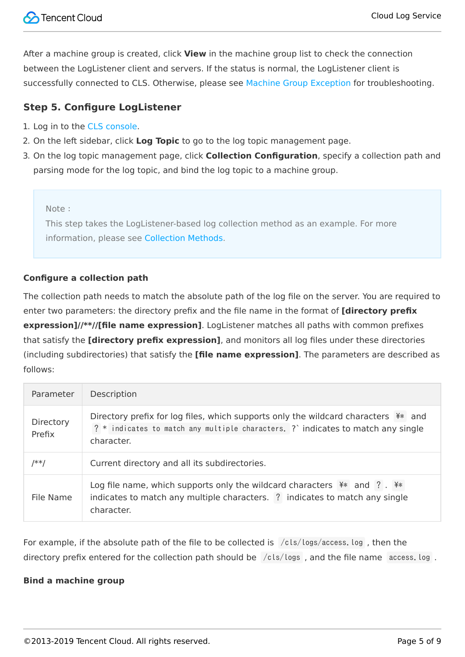After a machine group is created, click **View** in the machine group list to check the connection between the LogListener client and servers. If the status is normal, the LogListener client is successfully connected to CLS. Otherwise, please see [Machine Group Exception](https://intl.cloud.tencent.com/document/product/614/17424) for troubleshooting.

#### **Step 5. Configure LogListener**

- 1. Log in to the [CLS console.](https://console.cloud.tencent.com/cls)
- 2. On the left sidebar, click **Log Topic** to go to the log topic management page.
- 3. On the log topic management page, click **Collection Configuration**, specify a collection path and parsing mode for the log topic, and bind the log topic to a machine group.

#### Note:

This step takes the LogListener-based log collection method as an example. For more information, please see [Collection Methods](https://intl.cloud.tencent.com/document/product/614/12502).

#### **Configure a collection path**

The collection path needs to match the absolute path of the log file on the server. You are required to enter two parameters: the directory prefix and the file name in the format of **[directory prefix expression]//\*\*//[file name expression]**. LogListener matches all paths with common prefixes that satisfy the **[directory prefix expression]**, and monitors all log files under these directories (including subdirectories) that satisfy the **[file name expression]**. The parameters are described as follows:

| Parameter           | Description                                                                                                                                                                           |  |
|---------------------|---------------------------------------------------------------------------------------------------------------------------------------------------------------------------------------|--|
| Directory<br>Prefix | Directory prefix for log files, which supports only the wildcard characters $**$ and<br>? * indicates to match any multiple characters. ? indicates to match any single<br>character. |  |
| /**/                | Current directory and all its subdirectories.                                                                                                                                         |  |
| File Name           | Log file name, which supports only the wildcard characters $**$ and ? . **<br>indicates to match any multiple characters. ? indicates to match any single<br>character.               |  |

For example, if the absolute path of the file to be collected is /cls/logs/access.log , then the directory prefix entered for the collection path should be /cls/logs, and the file name access. log.

#### **Bind a machine group**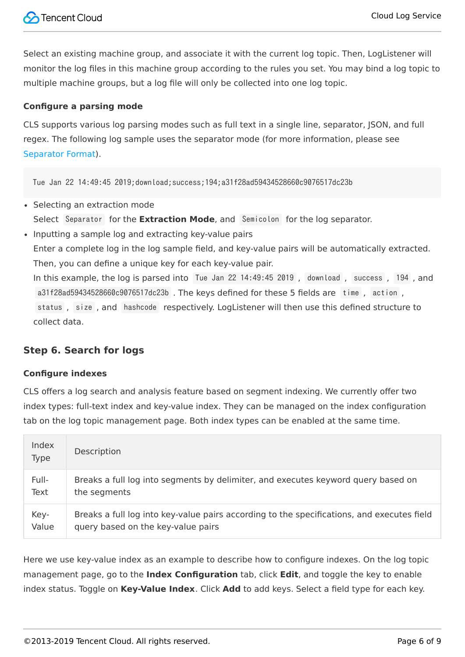Select an existing machine group, and associate it with the current log topic. Then, LogListener will monitor the log files in this machine group according to the rules you set. You may bind a log topic to multiple machine groups, but a log file will only be collected into one log topic.

#### **Configure a parsing mode**

CLS supports various log parsing modes such as full text in a single line, separator, JSON, and full regex. The following log sample uses the separator mode (for more information, please see [Separator Format](https://intl.cloud.tencent.com/document/product/614/32285)).

Tue Jan 22 14:49:45 2019;download;success;194;a31f28ad59434528660c9076517dc23b

- Selecting an extraction mode Select Separator for the **Extraction Mode**, and Semicolon for the log separator.
- Inputting a sample log and extracting key-value pairs Enter a complete log in the log sample field, and key-value pairs will be automatically extracted. Then, you can define a unique key for each key-value pair. In this example, the log is parsed into Tue Jan 22 14:49:45 2019 , download , success , 194 , and a31f28ad59434528660c9076517dc23b . The keys defined for these 5 fields are time , action , status , size , and hashcode respectively. LogListener will then use this defined structure to collect data.

#### **Step 6. Search for logs**

#### **Configure indexes**

CLS offers a log search and analysis feature based on segment indexing. We currently offer two index types: full-text index and key-value index. They can be managed on the index configuration tab on the log topic management page. Both index types can be enabled at the same time.

| Index<br>Type | Description                                                                                |
|---------------|--------------------------------------------------------------------------------------------|
| Full-         | Breaks a full log into segments by delimiter, and executes keyword query based on          |
| Text          | the segments                                                                               |
| Key-          | Breaks a full log into key-value pairs according to the specifications, and executes field |
| Value         | query based on the key-value pairs                                                         |

Here we use key-value index as an example to describe how to configure indexes. On the log topic management page, go to the **Index Configuration** tab, click **Edit**, and toggle the key to enable index status. Toggle on **Key-Value Index**. Click **Add** to add keys. Select a field type for each key.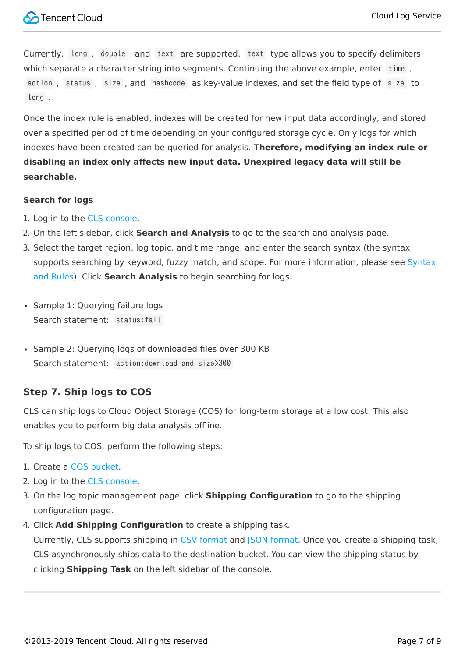

Currently, long , double , and text are supported. text type allows you to specify delimiters, which separate a character string into segments. Continuing the above example, enter time , action , status , size , and hashcode as key-value indexes, and set the field type of size to long .

Once the index rule is enabled, indexes will be created for new input data accordingly, and stored over a specified period of time depending on your configured storage cycle. Only logs for which indexes have been created can be queried for analysis. **Therefore, modifying an index rule or disabling an index only affects new input data. Unexpired legacy data will still be searchable.**

#### **Search for logs**

- 1. Log in to the [CLS console.](https://console.cloud.tencent.com/cls)
- 2. On the left sidebar, click **Search and Analysis** to go to the search and analysis page.
- 3. Select the target region, log topic, and time range, and enter the search syntax (the syntax [supports searching by keyword, fuzzy match, and scope. For more information, please see Syntax](https://intl.cloud.tencent.com/document/product/614/30439) and Rules). Click **Search Analysis** to begin searching for logs.
- Sample 1: Querying failure logs Search statement: status: fail
- Sample 2: Ouerving logs of downloaded files over 300 KB Search statement: action:download and size>300

#### **Step 7. Ship logs to COS**

CLS can ship logs to Cloud Object Storage (COS) for long-term storage at a low cost. This also enables you to perform big data analysis offline.

To ship logs to COS, perform the following steps:

- 1. Create a [COS bucket.](https://intl.cloud.tencent.com/document/product/436/13309)
- 2. Log in to the [CLS console.](https://console.cloud.tencent.com/cls)
- 3. On the log topic management page, click **Shipping Configuration** to go to the shipping configuration page.
- 4. Click **Add Shipping Configuration** to create a shipping task. Currently, CLS supports shipping in [CSV format](https://intl.cloud.tencent.com/document/product/614/31582) and [JSON format](https://intl.cloud.tencent.com/document/product/614/31583). Once you create a shipping task, CLS asynchronously ships data to the destination bucket. You can view the shipping status by clicking **Shipping Task** on the left sidebar of the console.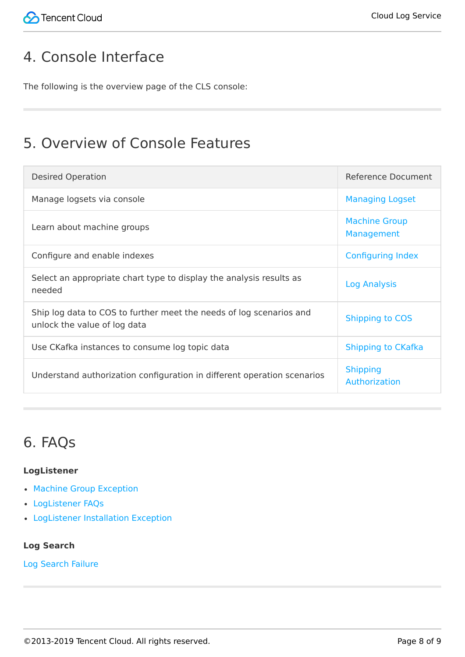# 4. Console Interface

The following is the overview page of the CLS console:

### 5. Overview of Console Features

| <b>Desired Operation</b>                                                                            | Reference Document                 |
|-----------------------------------------------------------------------------------------------------|------------------------------------|
| Manage logsets via console                                                                          | <b>Managing Logset</b>             |
| Learn about machine groups                                                                          | <b>Machine Group</b><br>Management |
| Configure and enable indexes                                                                        | <b>Configuring Index</b>           |
| Select an appropriate chart type to display the analysis results as<br>needed                       | Log Analysis                       |
| Ship log data to COS to further meet the needs of log scenarios and<br>unlock the value of log data | <b>Shipping to COS</b>             |
| Use CKafka instances to consume log topic data                                                      | Shipping to CKafka                 |
| Understand authorization configuration in different operation scenarios                             | <b>Shipping</b><br>Authorization   |

# 6. FAQs

#### **LogListener**

- [Machine Group Exception](https://intl.cloud.tencent.com/document/product/614/17424)
- [LogListener FAQs](https://intl.cloud.tencent.com/document/product/614/38444)
- [LogListener Installation Exception](https://intl.cloud.tencent.com/document/product/614/30445)

#### **Log Search**

[Log Search Failure](https://intl.cloud.tencent.com/document/product/614/38446)